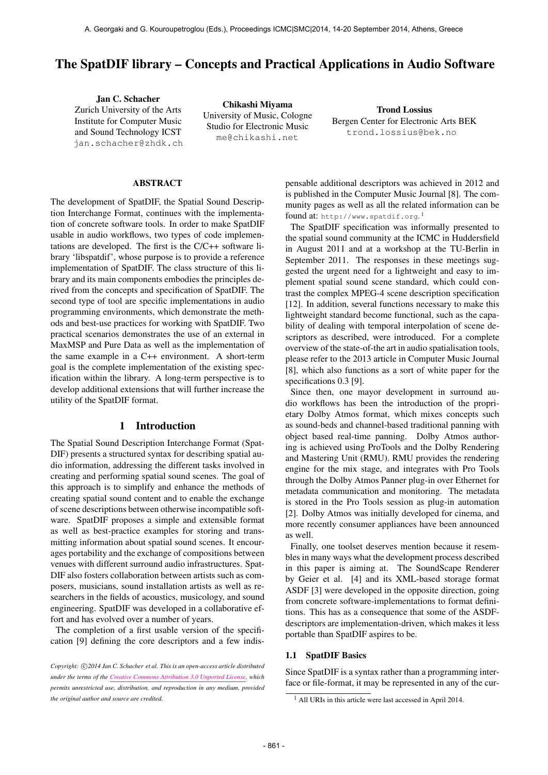# The SpatDIF library – Concepts and Practical Applications in Audio Software

Jan C. Schacher Zurich University of the Arts Institute for Computer Music and Sound Technology ICST <jan.schacher@zhdk.ch>

Chikashi Miyama University of Music, Cologne Studio for Electronic Music <me@chikashi.net>

Trond Lossius Bergen Center for Electronic Arts BEK <trond.lossius@bek.no>

### ABSTRACT

The development of SpatDIF, the Spatial Sound Description Interchange Format, continues with the implementation of concrete software tools. In order to make SpatDIF usable in audio workflows, two types of code implementations are developed. The first is the C/C++ software library 'libspatdif', whose purpose is to provide a reference implementation of SpatDIF. The class structure of this library and its main components embodies the principles derived from the concepts and specification of SpatDIF. The second type of tool are specific implementations in audio programming environments, which demonstrate the methods and best-use practices for working with SpatDIF. Two practical scenarios demonstrates the use of an external in MaxMSP and Pure Data as well as the implementation of the same example in a C++ environment. A short-term goal is the complete implementation of the existing specification within the library. A long-term perspective is to develop additional extensions that will further increase the utility of the SpatDIF format.

### 1 Introduction

The Spatial Sound Description Interchange Format (Spat-DIF) presents a structured syntax for describing spatial audio information, addressing the different tasks involved in creating and performing spatial sound scenes. The goal of this approach is to simplify and enhance the methods of creating spatial sound content and to enable the exchange of scene descriptions between otherwise incompatible software. SpatDIF proposes a simple and extensible format as well as best-practice examples for storing and transmitting information about spatial sound scenes. It encourages portability and the exchange of compositions between venues with different surround audio infrastructures. Spat-DIF also fosters collaboration between artists such as composers, musicians, sound installation artists as well as researchers in the fields of acoustics, musicology, and sound engineering. SpatDIF was developed in a collaborative effort and has evolved over a number of years.

The completion of a first usable version of the specification [9] defining the core descriptors and a few indispensable additional descriptors was achieved in 2012 and is published in the Computer Music Journal [8]. The community pages as well as all the related information can be found at: <http://www.spatdif.org>.<sup>1</sup>

The SpatDIF specification was informally presented to the spatial sound community at the ICMC in Huddersfield in August 2011 and at a workshop at the TU-Berlin in September 2011. The responses in these meetings suggested the urgent need for a lightweight and easy to implement spatial sound scene standard, which could contrast the complex MPEG-4 scene description specification [12]. In addition, several functions necessary to make this lightweight standard become functional, such as the capability of dealing with temporal interpolation of scene descriptors as described, were introduced. For a complete overview of the state-of-the art in audio spatialisation tools, please refer to the 2013 article in Computer Music Journal [8], which also functions as a sort of white paper for the specifications 0.3 [9].

Since then, one mayor development in surround audio workflows has been the introduction of the proprietary Dolby Atmos format, which mixes concepts such as sound-beds and channel-based traditional panning with object based real-time panning. Dolby Atmos authoring is achieved using ProTools and the Dolby Rendering and Mastering Unit (RMU). RMU provides the rendering engine for the mix stage, and integrates with Pro Tools through the Dolby Atmos Panner plug-in over Ethernet for metadata communication and monitoring. The metadata is stored in the Pro Tools session as plug-in automation [2]. Dolby Atmos was initially developed for cinema, and more recently consumer appliances have been announced as well.

Finally, one toolset deserves mention because it resembles in many ways what the development process described in this paper is aiming at. The SoundScape Renderer by Geier et al. [4] and its XML-based storage format ASDF [3] were developed in the opposite direction, going from concrete software-implementations to format definitions. This has as a consequence that some of the ASDFdescriptors are implementation-driven, which makes it less portable than SpatDIF aspires to be.

### 1.1 SpatDIF Basics

Since SpatDIF is a syntax rather than a programming interface or file-format, it may be represented in any of the cur-

Copyright:  $\bigcirc$ 2014 Jan C. Schacher et al. This is an open-access article distributed *under the terms of the [Creative Commons Attribution 3.0 Unported License,](http://creativecommons.org/licenses/by/3.0/) which permits unrestricted use, distribution, and reproduction in any medium, provided the original author and source are credited.*

<sup>&</sup>lt;sup>1</sup> All URIs in this article were last accessed in April 2014.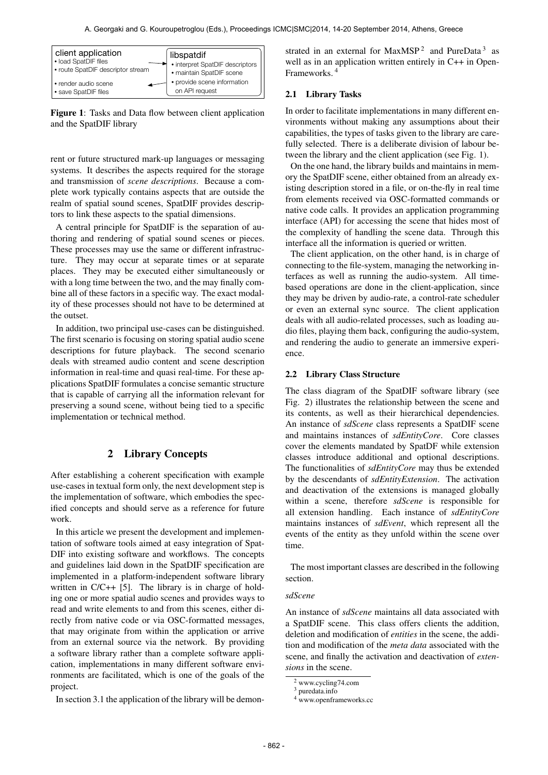| client application                | libspatdif                      |
|-----------------------------------|---------------------------------|
| <b>• load SpatDIF files</b>       | • interpret SpatDIF descriptors |
| • route SpatDIF descriptor stream | · maintain SpatDIF scene        |
| • render audio scene              | • provide scene information     |
| • save SpatDIF files              | on API request                  |

Figure 1: Tasks and Data flow between client application and the SpatDIF library

rent or future structured mark-up languages or messaging systems. It describes the aspects required for the storage and transmission of *scene descriptions*. Because a complete work typically contains aspects that are outside the realm of spatial sound scenes, SpatDIF provides descriptors to link these aspects to the spatial dimensions.

A central principle for SpatDIF is the separation of authoring and rendering of spatial sound scenes or pieces. These processes may use the same or different infrastructure. They may occur at separate times or at separate places. They may be executed either simultaneously or with a long time between the two, and the may finally combine all of these factors in a specific way. The exact modality of these processes should not have to be determined at the outset.

In addition, two principal use-cases can be distinguished. The first scenario is focusing on storing spatial audio scene descriptions for future playback. The second scenario deals with streamed audio content and scene description information in real-time and quasi real-time. For these applications SpatDIF formulates a concise semantic structure that is capable of carrying all the information relevant for preserving a sound scene, without being tied to a specific implementation or technical method.

### 2 Library Concepts

After establishing a coherent specification with example use-cases in textual form only, the next development step is the implementation of software, which embodies the specified concepts and should serve as a reference for future work.

In this article we present the development and implementation of software tools aimed at easy integration of Spat-DIF into existing software and workflows. The concepts and guidelines laid down in the SpatDIF specification are implemented in a platform-independent software library written in C/C++ [5]. The library is in charge of holding one or more spatial audio scenes and provides ways to read and write elements to and from this scenes, either directly from native code or via OSC-formatted messages, that may originate from within the application or arrive from an external source via the network. By providing a software library rather than a complete software application, implementations in many different software environments are facilitated, which is one of the goals of the project.

In section 3.1 the application of the library will be demon-

strated in an external for MaxMSP<sup>2</sup> and PureData<sup>3</sup> as well as in an application written entirely in C++ in Open-Frameworks. 4

### 2.1 Library Tasks

In order to facilitate implementations in many different environments without making any assumptions about their capabilities, the types of tasks given to the library are carefully selected. There is a deliberate division of labour between the library and the client application (see Fig. 1).

On the one hand, the library builds and maintains in memory the SpatDIF scene, either obtained from an already existing description stored in a file, or on-the-fly in real time from elements received via OSC-formatted commands or native code calls. It provides an application programming interface (API) for accessing the scene that hides most of the complexity of handling the scene data. Through this interface all the information is queried or written.

The client application, on the other hand, is in charge of connecting to the file-system, managing the networking interfaces as well as running the audio-system. All timebased operations are done in the client-application, since they may be driven by audio-rate, a control-rate scheduler or even an external sync source. The client application deals with all audio-related processes, such as loading audio files, playing them back, configuring the audio-system, and rendering the audio to generate an immersive experience.

#### 2.2 Library Class Structure

The class diagram of the SpatDIF software library (see Fig. 2) illustrates the relationship between the scene and its contents, as well as their hierarchical dependencies. An instance of *sdScene* class represents a SpatDIF scene and maintains instances of *sdEntityCore*. Core classes cover the elements mandated by SpatDF while extension classes introduce additional and optional descriptions. The functionalities of *sdEntityCore* may thus be extended by the descendants of *sdEntityExtension*. The activation and deactivation of the extensions is managed globally within a scene, therefore *sdScene* is responsible for all extension handling. Each instance of *sdEntityCore* maintains instances of *sdEvent*, which represent all the events of the entity as they unfold within the scene over time.

The most important classes are described in the following section.

#### *sdScene*

An instance of *sdScene* maintains all data associated with a SpatDIF scene. This class offers clients the addition, deletion and modification of *entities* in the scene, the addition and modification of the *meta data* associated with the scene, and finally the activation and deactivation of *extensions* in the scene.

<sup>2</sup> [www.cycling74.com](http://www.cycling74.com)

<sup>3</sup> [puredata.info](http://puredata.info)

<sup>&</sup>lt;sup>4</sup> [www.openframeworks.cc](http://www.openframeworks.cc)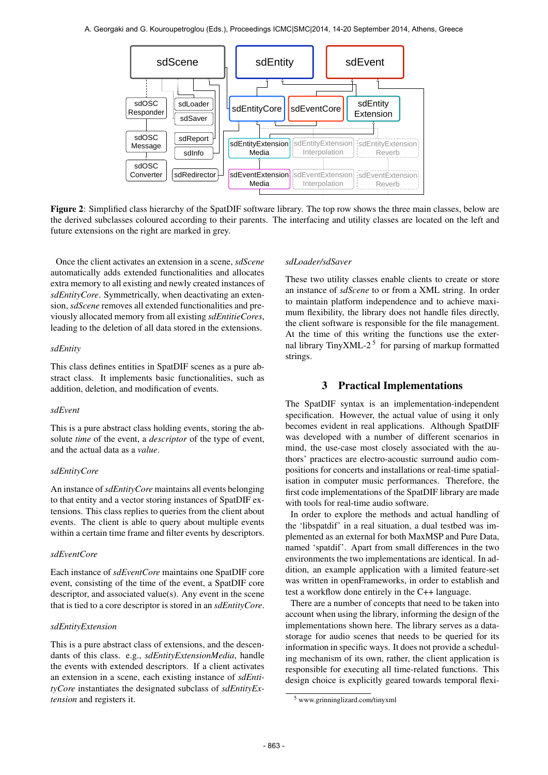

Figure 2: Simplified class hierarchy of the SpatDIF software library. The top row shows the three main classes, below are the derived subclasses coloured according to their parents. The interfacing and utility classes are located on the left and future extensions on the right are marked in grey.

Once the client activates an extension in a scene, *sdScene* automatically adds extended functionalities and allocates extra memory to all existing and newly created instances of *sdEntityCore*. Symmetrically, when deactivating an extension, *sdScene* removes all extended functionalities and previously allocated memory from all existing *sdEntitieCores*, leading to the deletion of all data stored in the extensions.

### *sdEntity*

This class defines entities in SpatDIF scenes as a pure abstract class. It implements basic functionalities, such as addition, deletion, and modification of events.

#### *sdEvent*

This is a pure abstract class holding events, storing the absolute *time* of the event, a *descriptor* of the type of event, and the actual data as a *value*.

### *sdEntityCore*

An instance of*sdEntityCore* maintains all events belonging to that entity and a vector storing instances of SpatDIF extensions. This class replies to queries from the client about events. The client is able to query about multiple events within a certain time frame and filter events by descriptors.

#### *sdEventCore*

Each instance of *sdEventCore* maintains one SpatDIF core event, consisting of the time of the event, a SpatDIF core descriptor, and associated value(s). Any event in the scene that is tied to a core descriptor is stored in an *sdEntityCore*.

### *sdEntityExtension*

This is a pure abstract class of extensions, and the descendants of this class. e.g., *sdEntityExtensionMedia*, handle the events with extended descriptors. If a client activates an extension in a scene, each existing instance of *sdEntityCore* instantiates the designated subclass of *sdEntityExtension* and registers it.

#### *sdLoader/sdSaver*

These two utility classes enable clients to create or store an instance of *sdScene* to or from a XML string. In order to maintain platform independence and to achieve maximum flexibility, the library does not handle files directly, the client software is responsible for the file management. At the time of this writing the functions use the external library TinyXML-2<sup>5</sup> for parsing of markup formatted strings.

### 3 Practical Implementations

The SpatDIF syntax is an implementation-independent specification. However, the actual value of using it only becomes evident in real applications. Although SpatDIF was developed with a number of different scenarios in mind, the use-case most closely associated with the authors' practices are electro-acoustic surround audio compositions for concerts and installations or real-time spatialisation in computer music performances. Therefore, the first code implementations of the SpatDIF library are made with tools for real-time audio software.

In order to explore the methods and actual handling of the 'libspatdif' in a real situation, a dual testbed was implemented as an external for both MaxMSP and Pure Data, named 'spatdif'. Apart from small differences in the two environments the two implementations are identical. In addition, an example application with a limited feature-set was written in openFrameworks, in order to establish and test a workflow done entirely in the C++ language.

There are a number of concepts that need to be taken into account when using the library, informing the design of the implementations shown here. The library serves as a datastorage for audio scenes that needs to be queried for its information in specific ways. It does not provide a scheduling mechanism of its own, rather, the client application is responsible for executing all time-related functions. This design choice is explicitly geared towards temporal flexi-

<sup>5</sup> [www.grinninglizard.com/tinyxml](http://www.grinninglizard.com/tinyxml)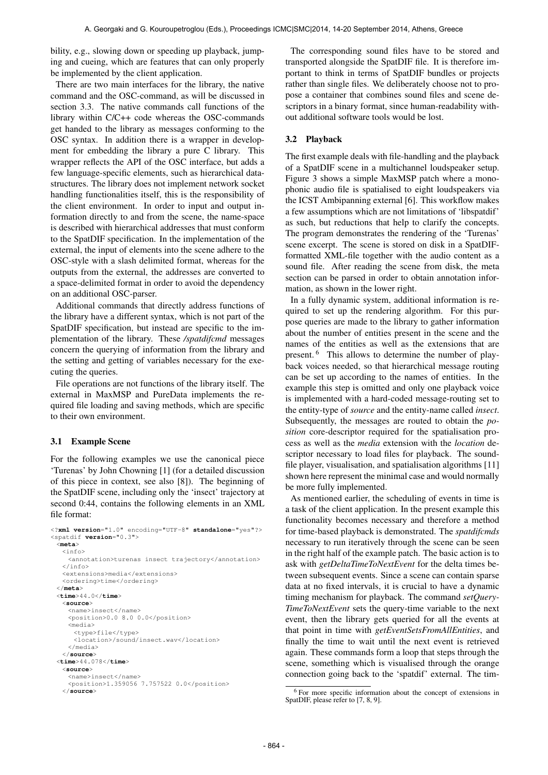bility, e.g., slowing down or speeding up playback, jumping and cueing, which are features that can only properly be implemented by the client application.

There are two main interfaces for the library, the native command and the OSC-command, as will be discussed in section 3.3. The native commands call functions of the library within C/C++ code whereas the OSC-commands get handed to the library as messages conforming to the OSC syntax. In addition there is a wrapper in development for embedding the library a pure C library. This wrapper reflects the API of the OSC interface, but adds a few language-specific elements, such as hierarchical datastructures. The library does not implement network socket handling functionalities itself, this is the responsibility of the client environment. In order to input and output information directly to and from the scene, the name-space is described with hierarchical addresses that must conform to the SpatDIF specification. In the implementation of the external, the input of elements into the scene adhere to the OSC-style with a slash delimited format, whereas for the outputs from the external, the addresses are converted to a space-delimited format in order to avoid the dependency on an additional OSC-parser.

Additional commands that directly address functions of the library have a different syntax, which is not part of the SpatDIF specification, but instead are specific to the implementation of the library. These */spatdifcmd* messages concern the querying of information from the library and the setting and getting of variables necessary for the executing the queries.

File operations are not functions of the library itself. The external in MaxMSP and PureData implements the required file loading and saving methods, which are specific to their own environment.

### 3.1 Example Scene

For the following examples we use the canonical piece 'Turenas' by John Chowning [1] (for a detailed discussion of this piece in context, see also [8]). The beginning of the SpatDIF scene, including only the 'insect' trajectory at second 0:44, contains the following elements in an XML file format:

```
<?xml version="1.0" encoding="UTF-8" standalone="yes"?>
<spatdif version="0.3">
 <meta>
   \langleinfo\rangle<annotation>turenas insect trajectory</annotation>
   </info>
   <extensions>media</extensions>
   <ordering>time</ordering>
 </meta>
 <time>44.0</time>
   <source>
    <name>insect</name>
    <position>0.0 8.0 0.0</position>
    <media>
      <type>file</type>
      <location>/sound/insect.wav</location>
    </media>
   </source>
 <time>44.078</time>
   <source>
    <name>insect</name>
    <position>1.359056 7.757522 0.0</position>
   </source>
```
The corresponding sound files have to be stored and transported alongside the SpatDIF file. It is therefore important to think in terms of SpatDIF bundles or projects rather than single files. We deliberately choose not to propose a container that combines sound files and scene descriptors in a binary format, since human-readability without additional software tools would be lost.

### 3.2 Playback

The first example deals with file-handling and the playback of a SpatDIF scene in a multichannel loudspeaker setup. Figure 3 shows a simple MaxMSP patch where a monophonic audio file is spatialised to eight loudspeakers via the ICST Ambipanning external [6]. This workflow makes a few assumptions which are not limitations of 'libspatdif' as such, but reductions that help to clarify the concepts. The program demonstrates the rendering of the 'Turenas' scene excerpt. The scene is stored on disk in a SpatDIFformatted XML-file together with the audio content as a sound file. After reading the scene from disk, the meta section can be parsed in order to obtain annotation information, as shown in the lower right.

In a fully dynamic system, additional information is required to set up the rendering algorithm. For this purpose queries are made to the library to gather information about the number of entities present in the scene and the names of the entities as well as the extensions that are present. <sup>6</sup> This allows to determine the number of playback voices needed, so that hierarchical message routing can be set up according to the names of entities. In the example this step is omitted and only one playback voice is implemented with a hard-coded message-routing set to the entity-type of *source* and the entity-name called *insect*. Subsequently, the messages are routed to obtain the *position* core-descriptor required for the spatialisation process as well as the *media* extension with the *location* descriptor necessary to load files for playback. The soundfile player, visualisation, and spatialisation algorithms [11] shown here represent the minimal case and would normally be more fully implemented.

As mentioned earlier, the scheduling of events in time is a task of the client application. In the present example this functionality becomes necessary and therefore a method for time-based playback is demonstrated. The *spatdifcmds* necessary to run iteratively through the scene can be seen in the right half of the example patch. The basic action is to ask with *getDeltaTimeToNextEvent* for the delta times between subsequent events. Since a scene can contain sparse data at no fixed intervals, it is crucial to have a dynamic timing mechanism for playback. The command *setQuery-TimeToNextEvent* sets the query-time variable to the next event, then the library gets queried for all the events at that point in time with *getEventSetsFromAllEntities*, and finally the time to wait until the next event is retrieved again. These commands form a loop that steps through the scene, something which is visualised through the orange connection going back to the 'spatdif' external. The tim-

<sup>6</sup> For more specific information about the concept of extensions in SpatDIF, please refer to [7, 8, 9].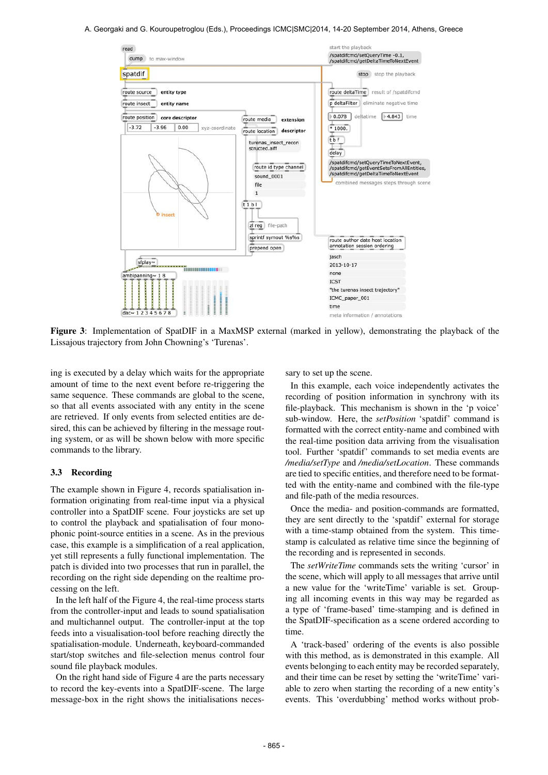#### A. Georgaki and G. Kouroupetroglou (Eds.), Proceedings ICMC|SMC|2014, 14-20 September 2014, Athens, Greece



Figure 3: Implementation of SpatDIF in a MaxMSP external (marked in yellow), demonstrating the playback of the Lissajous trajectory from John Chowning's 'Turenas'.

ing is executed by a delay which waits for the appropriate amount of time to the next event before re-triggering the same sequence. These commands are global to the scene, so that all events associated with any entity in the scene are retrieved. If only events from selected entities are desired, this can be achieved by filtering in the message routing system, or as will be shown below with more specific commands to the library.

### 3.3 Recording

The example shown in Figure 4, records spatialisation information originating from real-time input via a physical controller into a SpatDIF scene. Four joysticks are set up to control the playback and spatialisation of four monophonic point-source entities in a scene. As in the previous case, this example is a simplification of a real application, yet still represents a fully functional implementation. The patch is divided into two processes that run in parallel, the recording on the right side depending on the realtime processing on the left.

In the left half of the Figure 4, the real-time process starts from the controller-input and leads to sound spatialisation and multichannel output. The controller-input at the top feeds into a visualisation-tool before reaching directly the spatialisation-module. Underneath, keyboard-commanded start/stop switches and file-selection menus control four sound file playback modules.

On the right hand side of Figure 4 are the parts necessary to record the key-events into a SpatDIF-scene. The large message-box in the right shows the initialisations necessary to set up the scene.

In this example, each voice independently activates the recording of position information in synchrony with its file-playback. This mechanism is shown in the 'p voice' sub-window. Here, the *setPosition* 'spatdif' command is formatted with the correct entity-name and combined with the real-time position data arriving from the visualisation tool. Further 'spatdif' commands to set media events are */media/setType* and */media/setLocation*. These commands are tied to specific entities, and therefore need to be formatted with the entity-name and combined with the file-type and file-path of the media resources.

Once the media- and position-commands are formatted, they are sent directly to the 'spatdif' external for storage with a time-stamp obtained from the system. This timestamp is calculated as relative time since the beginning of the recording and is represented in seconds.

The *setWriteTime* commands sets the writing 'cursor' in the scene, which will apply to all messages that arrive until a new value for the 'writeTime' variable is set. Grouping all incoming events in this way may be regarded as a type of 'frame-based' time-stamping and is defined in the SpatDIF-specification as a scene ordered according to time.

A 'track-based' ordering of the events is also possible with this method, as is demonstrated in this example. All events belonging to each entity may be recorded separately, and their time can be reset by setting the 'writeTime' variable to zero when starting the recording of a new entity's events. This 'overdubbing' method works without prob-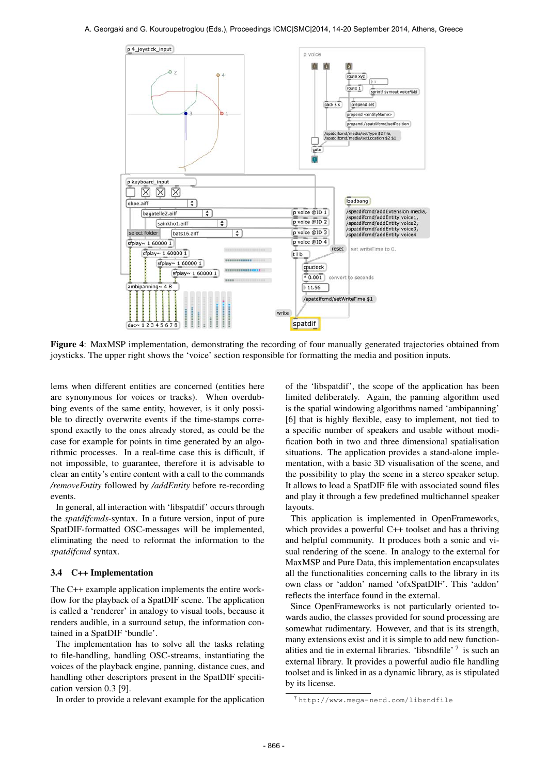

Figure 4: MaxMSP implementation, demonstrating the recording of four manually generated trajectories obtained from joysticks. The upper right shows the 'voice' section responsible for formatting the media and position inputs.

lems when different entities are concerned (entities here are synonymous for voices or tracks). When overdubbing events of the same entity, however, is it only possible to directly overwrite events if the time-stamps correspond exactly to the ones already stored, as could be the case for example for points in time generated by an algorithmic processes. In a real-time case this is difficult, if not impossible, to guarantee, therefore it is advisable to clear an entity's entire content with a call to the commands */removeEntity* followed by */addEntity* before re-recording events.

In general, all interaction with 'libspatdif' occurs through the *spatdifcmds*-syntax. In a future version, input of pure SpatDIF-formatted OSC-messages will be implemented, eliminating the need to reformat the information to the *spatdifcmd* syntax.

#### 3.4 C++ Implementation

The C++ example application implements the entire workflow for the playback of a SpatDIF scene. The application is called a 'renderer' in analogy to visual tools, because it renders audible, in a surround setup, the information contained in a SpatDIF 'bundle'.

The implementation has to solve all the tasks relating to file-handling, handling OSC-streams, instantiating the voices of the playback engine, panning, distance cues, and handling other descriptors present in the SpatDIF specification version 0.3 [9].

In order to provide a relevant example for the application

of the 'libspatdif', the scope of the application has been limited deliberately. Again, the panning algorithm used is the spatial windowing algorithms named 'ambipanning' [6] that is highly flexible, easy to implement, not tied to a specific number of speakers and usable without modification both in two and three dimensional spatialisation situations. The application provides a stand-alone implementation, with a basic 3D visualisation of the scene, and the possibility to play the scene in a stereo speaker setup. It allows to load a SpatDIF file with associated sound files and play it through a few predefined multichannel speaker layouts.

This application is implemented in OpenFrameworks, which provides a powerful C++ toolset and has a thriving and helpful community. It produces both a sonic and visual rendering of the scene. In analogy to the external for MaxMSP and Pure Data, this implementation encapsulates all the functionalities concerning calls to the library in its own class or 'addon' named 'ofxSpatDIF'. This 'addon' reflects the interface found in the external.

Since OpenFrameworks is not particularly oriented towards audio, the classes provided for sound processing are somewhat rudimentary. However, and that is its strength, many extensions exist and it is simple to add new functionalities and tie in external libraries. 'libsndfile'<sup>7</sup> is such an external library. It provides a powerful audio file handling toolset and is linked in as a dynamic library, as is stipulated by its license.

<sup>7</sup> <http://www.mega-nerd.com/libsndfile>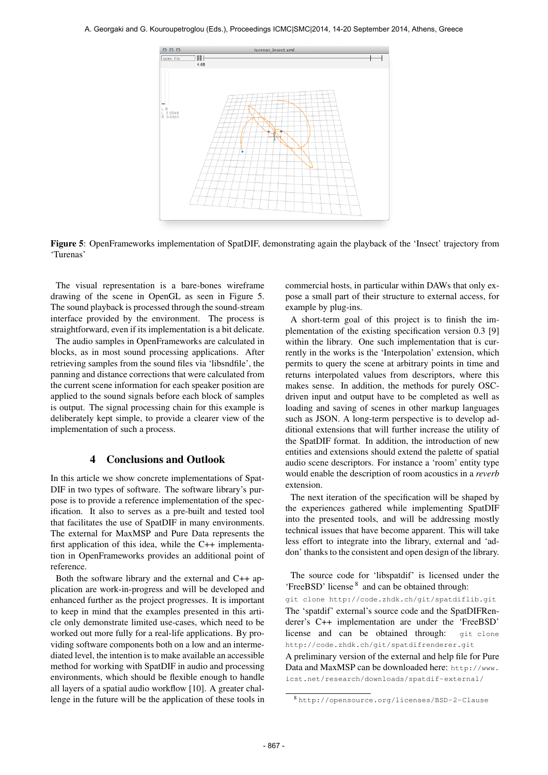#### A. Georgaki and G. Kouroupetroglou (Eds.), Proceedings ICMC|SMC|2014, 14-20 September 2014, Athens, Greece



Figure 5: OpenFrameworks implementation of SpatDIF, demonstrating again the playback of the 'Insect' trajectory from 'Turenas'

The visual representation is a bare-bones wireframe drawing of the scene in OpenGL as seen in Figure 5. The sound playback is processed through the sound-stream interface provided by the environment. The process is straightforward, even if its implementation is a bit delicate.

The audio samples in OpenFrameworks are calculated in blocks, as in most sound processing applications. After retrieving samples from the sound files via 'libsndfile', the panning and distance corrections that were calculated from the current scene information for each speaker position are applied to the sound signals before each block of samples is output. The signal processing chain for this example is deliberately kept simple, to provide a clearer view of the implementation of such a process.

# 4 Conclusions and Outlook

In this article we show concrete implementations of Spat-DIF in two types of software. The software library's purpose is to provide a reference implementation of the specification. It also to serves as a pre-built and tested tool that facilitates the use of SpatDIF in many environments. The external for MaxMSP and Pure Data represents the first application of this idea, while the C++ implementation in OpenFrameworks provides an additional point of reference.

Both the software library and the external and C++ application are work-in-progress and will be developed and enhanced further as the project progresses. It is important to keep in mind that the examples presented in this article only demonstrate limited use-cases, which need to be worked out more fully for a real-life applications. By providing software components both on a low and an intermediated level, the intention is to make available an accessible method for working with SpatDIF in audio and processing environments, which should be flexible enough to handle all layers of a spatial audio workflow [10]. A greater challenge in the future will be the application of these tools in commercial hosts, in particular within DAWs that only expose a small part of their structure to external access, for example by plug-ins.

A short-term goal of this project is to finish the implementation of the existing specification version 0.3 [9] within the library. One such implementation that is currently in the works is the 'Interpolation' extension, which permits to query the scene at arbitrary points in time and returns interpolated values from descriptors, where this makes sense. In addition, the methods for purely OSCdriven input and output have to be completed as well as loading and saving of scenes in other markup languages such as JSON. A long-term perspective is to develop additional extensions that will further increase the utility of the SpatDIF format. In addition, the introduction of new entities and extensions should extend the palette of spatial audio scene descriptors. For instance a 'room' entity type would enable the description of room acoustics in a *reverb* extension.

The next iteration of the specification will be shaped by the experiences gathered while implementing SpatDIF into the presented tools, and will be addressing mostly technical issues that have become apparent. This will take less effort to integrate into the library, external and 'addon' thanks to the consistent and open design of the library.

The source code for 'libspatdif' is licensed under the 'FreeBSD' license <sup>8</sup> and can be obtained through:

git clone http://code.zhdk.ch/git/spatdiflib.git The 'spatdif' external's source code and the SpatDIFRenderer's C++ implementation are under the 'FreeBSD' license and can be obtained through: git clone http://code.zhdk.ch/git/spatdifrenderer.git

A preliminary version of the external and help file for Pure Data and MaxMSP can be downloaded here: [http://www.](http://www.icst.net/research/downloads/spatdif-external/) [icst.net/research/downloads/spatdif-external/](http://www.icst.net/research/downloads/spatdif-external/)

<sup>8</sup> <http://opensource.org/licenses/BSD-2-Clause>